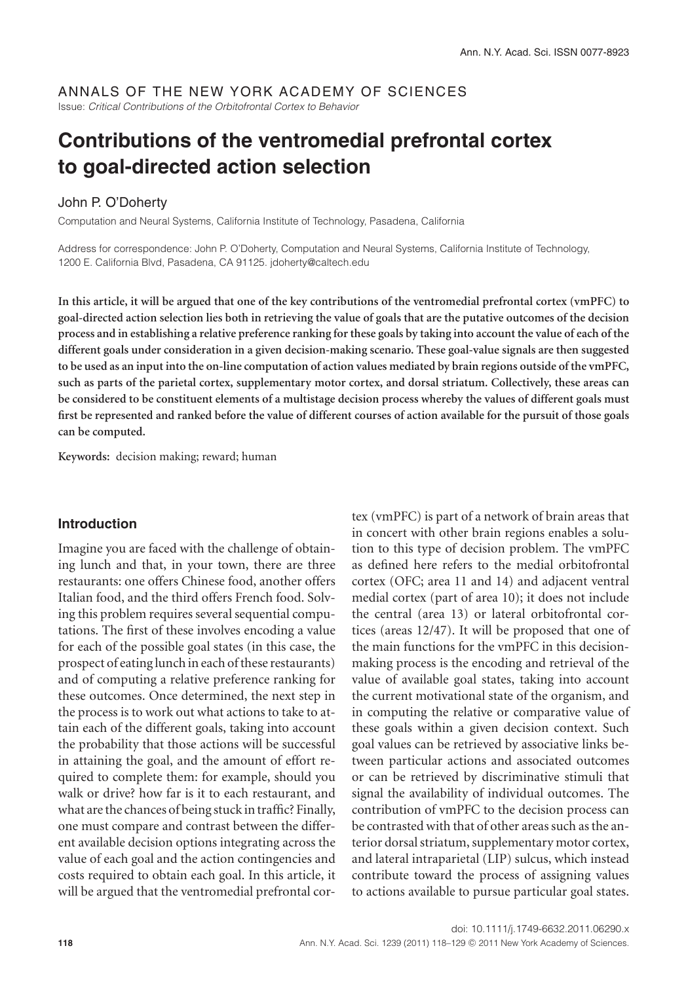## ANNALS OF THE NEW YORK ACADEMY OF SCIENCES

Issue: *Critical Contributions of the Orbitofrontal Cortex to Behavior*

# **Contributions of the ventromedial prefrontal cortex to goal-directed action selection**

#### John P. O'Doherty

Computation and Neural Systems, California Institute of Technology, Pasadena, California

Address for correspondence: John P. O'Doherty, Computation and Neural Systems, California Institute of Technology, 1200 E. California Blvd, Pasadena, CA 91125. jdoherty@caltech.edu

**In this article, it will be argued that one of the key contributions of the ventromedial prefrontal cortex (vmPFC) to goal-directed action selection lies both in retrieving the value of goals that are the putative outcomes of the decision process and in establishing a relative preference ranking for these goals by taking into account the value of each of the different goals under consideration in a given decision-making scenario. These goal-value signals are then suggested to be used as an input into the on-line computation of action values mediated by brain regions outside of the vmPFC, such as parts of the parietal cortex, supplementary motor cortex, and dorsal striatum. Collectively, these areas can be considered to be constituent elements of a multistage decision process whereby the values of different goals must first be represented and ranked before the value of different courses of action available for the pursuit of those goals can be computed.**

**Keywords:** decision making; reward; human

#### **Introduction**

Imagine you are faced with the challenge of obtaining lunch and that, in your town, there are three restaurants: one offers Chinese food, another offers Italian food, and the third offers French food. Solving this problem requires several sequential computations. The first of these involves encoding a value for each of the possible goal states (in this case, the prospect of eating lunch in each of these restaurants) and of computing a relative preference ranking for these outcomes. Once determined, the next step in the process is to work out what actions to take to attain each of the different goals, taking into account the probability that those actions will be successful in attaining the goal, and the amount of effort required to complete them: for example, should you walk or drive? how far is it to each restaurant, and what are the chances of being stuck in traffic? Finally, one must compare and contrast between the different available decision options integrating across the value of each goal and the action contingencies and costs required to obtain each goal. In this article, it will be argued that the ventromedial prefrontal cortex (vmPFC) is part of a network of brain areas that in concert with other brain regions enables a solution to this type of decision problem. The vmPFC as defined here refers to the medial orbitofrontal cortex (OFC; area 11 and 14) and adjacent ventral medial cortex (part of area 10); it does not include the central (area 13) or lateral orbitofrontal cortices (areas 12/47). It will be proposed that one of the main functions for the vmPFC in this decisionmaking process is the encoding and retrieval of the value of available goal states, taking into account the current motivational state of the organism, and in computing the relative or comparative value of these goals within a given decision context. Such goal values can be retrieved by associative links between particular actions and associated outcomes or can be retrieved by discriminative stimuli that signal the availability of individual outcomes. The contribution of vmPFC to the decision process can be contrasted with that of other areas such as the anterior dorsal striatum, supplementary motor cortex, and lateral intraparietal (LIP) sulcus, which instead contribute toward the process of assigning values to actions available to pursue particular goal states.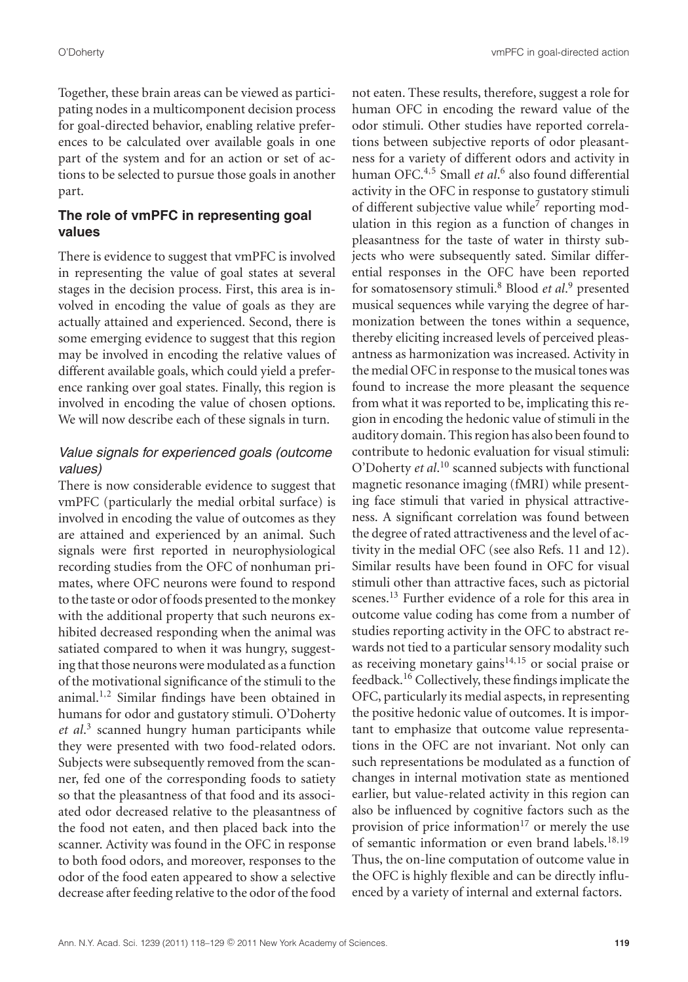Together, these brain areas can be viewed as participating nodes in a multicomponent decision process for goal-directed behavior, enabling relative preferences to be calculated over available goals in one part of the system and for an action or set of actions to be selected to pursue those goals in another part.

## **The role of vmPFC in representing goal values**

There is evidence to suggest that vmPFC is involved in representing the value of goal states at several stages in the decision process. First, this area is involved in encoding the value of goals as they are actually attained and experienced. Second, there is some emerging evidence to suggest that this region may be involved in encoding the relative values of different available goals, which could yield a preference ranking over goal states. Finally, this region is involved in encoding the value of chosen options. We will now describe each of these signals in turn.

## Value signals for experienced goals (outcome values)

There is now considerable evidence to suggest that vmPFC (particularly the medial orbital surface) is involved in encoding the value of outcomes as they are attained and experienced by an animal. Such signals were first reported in neurophysiological recording studies from the OFC of nonhuman primates, where OFC neurons were found to respond to the taste or odor of foods presented to the monkey with the additional property that such neurons exhibited decreased responding when the animal was satiated compared to when it was hungry, suggesting that those neurons were modulated as a function of the motivational significance of the stimuli to the animal.<sup>1</sup>,<sup>2</sup> Similar findings have been obtained in humans for odor and gustatory stimuli. O'Doherty *et al*. <sup>3</sup> scanned hungry human participants while they were presented with two food-related odors. Subjects were subsequently removed from the scanner, fed one of the corresponding foods to satiety so that the pleasantness of that food and its associated odor decreased relative to the pleasantness of the food not eaten, and then placed back into the scanner. Activity was found in the OFC in response to both food odors, and moreover, responses to the odor of the food eaten appeared to show a selective decrease after feeding relative to the odor of the food not eaten. These results, therefore, suggest a role for human OFC in encoding the reward value of the odor stimuli. Other studies have reported correlations between subjective reports of odor pleasantness for a variety of different odors and activity in human OFC.<sup>4</sup>,<sup>5</sup> Small *et al*. <sup>6</sup> also found differential activity in the OFC in response to gustatory stimuli of different subjective value while<sup>7</sup> reporting modulation in this region as a function of changes in pleasantness for the taste of water in thirsty subjects who were subsequently sated. Similar differential responses in the OFC have been reported for somatosensory stimuli.8 Blood *et al*. <sup>9</sup> presented musical sequences while varying the degree of harmonization between the tones within a sequence, thereby eliciting increased levels of perceived pleasantness as harmonization was increased. Activity in the medial OFC in response to the musical tones was found to increase the more pleasant the sequence from what it was reported to be, implicating this region in encoding the hedonic value of stimuli in the auditory domain. This region has also been found to contribute to hedonic evaluation for visual stimuli: O'Doherty et al.<sup>10</sup> scanned subjects with functional magnetic resonance imaging (fMRI) while presenting face stimuli that varied in physical attractiveness. A significant correlation was found between the degree of rated attractiveness and the level of activity in the medial OFC (see also Refs. 11 and 12). Similar results have been found in OFC for visual stimuli other than attractive faces, such as pictorial scenes.<sup>13</sup> Further evidence of a role for this area in outcome value coding has come from a number of studies reporting activity in the OFC to abstract rewards not tied to a particular sensory modality such as receiving monetary gains $14,15$  or social praise or feedback.<sup>16</sup> Collectively, these findings implicate the OFC, particularly its medial aspects, in representing the positive hedonic value of outcomes. It is important to emphasize that outcome value representations in the OFC are not invariant. Not only can such representations be modulated as a function of changes in internal motivation state as mentioned earlier, but value-related activity in this region can also be influenced by cognitive factors such as the provision of price information $17$  or merely the use of semantic information or even brand labels.<sup>18,19</sup> Thus, the on-line computation of outcome value in the OFC is highly flexible and can be directly influenced by a variety of internal and external factors.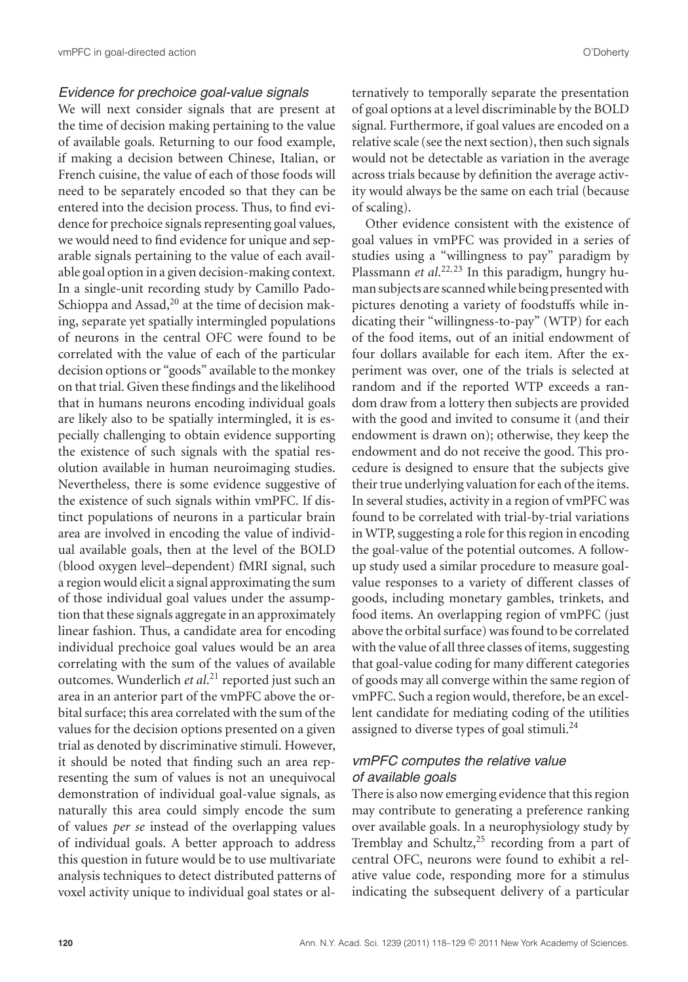#### Evidence for prechoice goal-value signals

We will next consider signals that are present at the time of decision making pertaining to the value of available goals. Returning to our food example, if making a decision between Chinese, Italian, or French cuisine, the value of each of those foods will need to be separately encoded so that they can be entered into the decision process. Thus, to find evidence for prechoice signals representing goal values, we would need to find evidence for unique and separable signals pertaining to the value of each available goal option in a given decision-making context. In a single-unit recording study by Camillo Pado-Schioppa and Assad, $^{20}$  at the time of decision making, separate yet spatially intermingled populations of neurons in the central OFC were found to be correlated with the value of each of the particular decision options or "goods" available to the monkey on that trial. Given these findings and the likelihood that in humans neurons encoding individual goals are likely also to be spatially intermingled, it is especially challenging to obtain evidence supporting the existence of such signals with the spatial resolution available in human neuroimaging studies. Nevertheless, there is some evidence suggestive of the existence of such signals within vmPFC. If distinct populations of neurons in a particular brain area are involved in encoding the value of individual available goals, then at the level of the BOLD (blood oxygen level–dependent) fMRI signal, such a region would elicit a signal approximating the sum of those individual goal values under the assumption that these signals aggregate in an approximately linear fashion. Thus, a candidate area for encoding individual prechoice goal values would be an area correlating with the sum of the values of available outcomes. Wunderlich *et al*. <sup>21</sup> reported just such an area in an anterior part of the vmPFC above the orbital surface; this area correlated with the sum of the values for the decision options presented on a given trial as denoted by discriminative stimuli. However, it should be noted that finding such an area representing the sum of values is not an unequivocal demonstration of individual goal-value signals, as naturally this area could simply encode the sum of values *per se* instead of the overlapping values of individual goals. A better approach to address this question in future would be to use multivariate analysis techniques to detect distributed patterns of voxel activity unique to individual goal states or alternatively to temporally separate the presentation of goal options at a level discriminable by the BOLD signal. Furthermore, if goal values are encoded on a relative scale (see the next section), then such signals would not be detectable as variation in the average across trials because by definition the average activity would always be the same on each trial (because of scaling).

Other evidence consistent with the existence of goal values in vmPFC was provided in a series of studies using a "willingness to pay" paradigm by Plassmann *et al*. <sup>22</sup>,<sup>23</sup> In this paradigm, hungry human subjects are scanned while being presented with pictures denoting a variety of foodstuffs while indicating their "willingness-to-pay" (WTP) for each of the food items, out of an initial endowment of four dollars available for each item. After the experiment was over, one of the trials is selected at random and if the reported WTP exceeds a random draw from a lottery then subjects are provided with the good and invited to consume it (and their endowment is drawn on); otherwise, they keep the endowment and do not receive the good. This procedure is designed to ensure that the subjects give their true underlying valuation for each of the items. In several studies, activity in a region of vmPFC was found to be correlated with trial-by-trial variations in WTP, suggesting a role for this region in encoding the goal-value of the potential outcomes. A followup study used a similar procedure to measure goalvalue responses to a variety of different classes of goods, including monetary gambles, trinkets, and food items. An overlapping region of vmPFC (just above the orbital surface) was found to be correlated with the value of all three classes of items, suggesting that goal-value coding for many different categories of goods may all converge within the same region of vmPFC. Such a region would, therefore, be an excellent candidate for mediating coding of the utilities assigned to diverse types of goal stimuli.<sup>24</sup>

#### vmPFC computes the relative value of available goals

There is also now emerging evidence that this region may contribute to generating a preference ranking over available goals. In a neurophysiology study by Tremblay and Schultz, $25$  recording from a part of central OFC, neurons were found to exhibit a relative value code, responding more for a stimulus indicating the subsequent delivery of a particular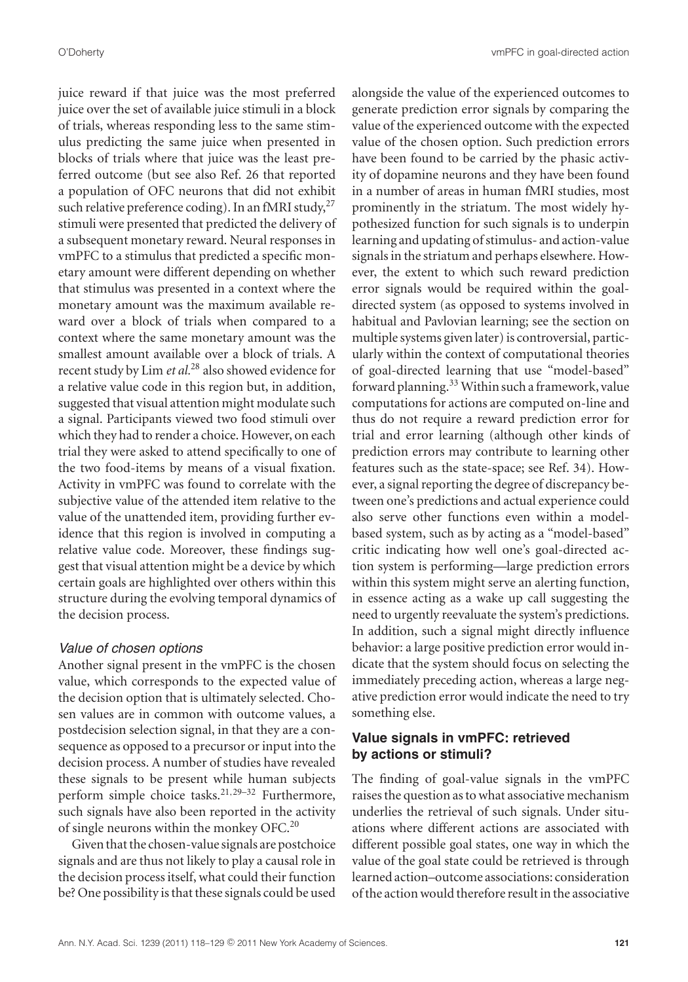juice reward if that juice was the most preferred juice over the set of available juice stimuli in a block of trials, whereas responding less to the same stimulus predicting the same juice when presented in blocks of trials where that juice was the least preferred outcome (but see also Ref. 26 that reported a population of OFC neurons that did not exhibit such relative preference coding). In an fMRI study,  $27$ stimuli were presented that predicted the delivery of a subsequent monetary reward. Neural responses in vmPFC to a stimulus that predicted a specific monetary amount were different depending on whether that stimulus was presented in a context where the monetary amount was the maximum available reward over a block of trials when compared to a context where the same monetary amount was the smallest amount available over a block of trials. A recent study by Lim *et al.*<sup>28</sup> also showed evidence for a relative value code in this region but, in addition, suggested that visual attention might modulate such a signal. Participants viewed two food stimuli over which they had to render a choice. However, on each trial they were asked to attend specifically to one of the two food-items by means of a visual fixation. Activity in vmPFC was found to correlate with the subjective value of the attended item relative to the value of the unattended item, providing further evidence that this region is involved in computing a relative value code. Moreover, these findings suggest that visual attention might be a device by which certain goals are highlighted over others within this structure during the evolving temporal dynamics of the decision process.

#### Value of chosen options

Another signal present in the vmPFC is the chosen value, which corresponds to the expected value of the decision option that is ultimately selected. Chosen values are in common with outcome values, a postdecision selection signal, in that they are a consequence as opposed to a precursor or input into the decision process. A number of studies have revealed these signals to be present while human subjects perform simple choice tasks.<sup>21,29-32</sup> Furthermore, such signals have also been reported in the activity of single neurons within the monkey OFC.20

Given that the chosen-value signals are postchoice signals and are thus not likely to play a causal role in the decision process itself, what could their function be? One possibility is that these signals could be used alongside the value of the experienced outcomes to generate prediction error signals by comparing the value of the experienced outcome with the expected value of the chosen option. Such prediction errors have been found to be carried by the phasic activity of dopamine neurons and they have been found in a number of areas in human fMRI studies, most prominently in the striatum. The most widely hypothesized function for such signals is to underpin learning and updating of stimulus- and action-value signals in the striatum and perhaps elsewhere. However, the extent to which such reward prediction error signals would be required within the goaldirected system (as opposed to systems involved in habitual and Pavlovian learning; see the section on multiple systems given later) is controversial, particularly within the context of computational theories of goal-directed learning that use "model-based" forward planning.<sup>33</sup> Within such a framework, value computations for actions are computed on-line and thus do not require a reward prediction error for trial and error learning (although other kinds of prediction errors may contribute to learning other features such as the state-space; see Ref. 34). However, a signal reporting the degree of discrepancy between one's predictions and actual experience could also serve other functions even within a modelbased system, such as by acting as a "model-based" critic indicating how well one's goal-directed action system is performing—large prediction errors within this system might serve an alerting function, in essence acting as a wake up call suggesting the need to urgently reevaluate the system's predictions. In addition, such a signal might directly influence behavior: a large positive prediction error would indicate that the system should focus on selecting the immediately preceding action, whereas a large negative prediction error would indicate the need to try something else.

#### **Value signals in vmPFC: retrieved by actions or stimuli?**

The finding of goal-value signals in the vmPFC raises the question as to what associative mechanism underlies the retrieval of such signals. Under situations where different actions are associated with different possible goal states, one way in which the value of the goal state could be retrieved is through learned action–outcome associations: consideration of the action would therefore result in the associative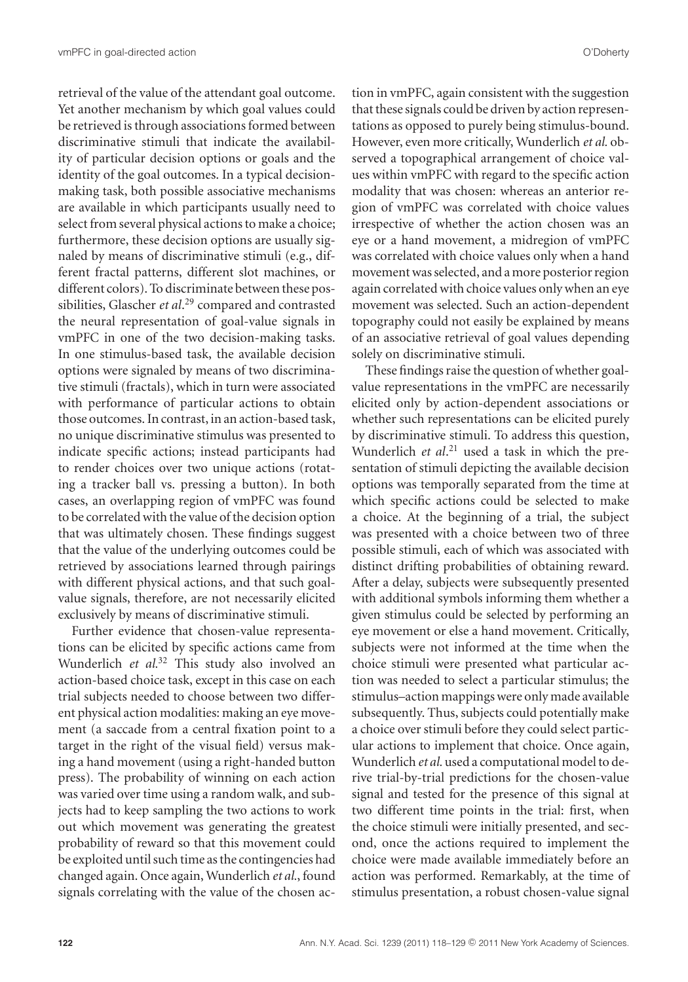retrieval of the value of the attendant goal outcome. Yet another mechanism by which goal values could be retrieved is through associations formed between discriminative stimuli that indicate the availability of particular decision options or goals and the identity of the goal outcomes. In a typical decisionmaking task, both possible associative mechanisms are available in which participants usually need to select from several physical actions to make a choice; furthermore, these decision options are usually signaled by means of discriminative stimuli (e.g., different fractal patterns, different slot machines, or different colors). To discriminate between these possibilities, Glascher *et al*. <sup>29</sup> compared and contrasted the neural representation of goal-value signals in vmPFC in one of the two decision-making tasks. In one stimulus-based task, the available decision options were signaled by means of two discriminative stimuli (fractals), which in turn were associated with performance of particular actions to obtain those outcomes. In contrast, in an action-based task, no unique discriminative stimulus was presented to indicate specific actions; instead participants had to render choices over two unique actions (rotating a tracker ball vs. pressing a button). In both cases, an overlapping region of vmPFC was found to be correlated with the value of the decision option that was ultimately chosen. These findings suggest that the value of the underlying outcomes could be retrieved by associations learned through pairings with different physical actions, and that such goalvalue signals, therefore, are not necessarily elicited exclusively by means of discriminative stimuli.

Further evidence that chosen-value representations can be elicited by specific actions came from Wunderlich et al.<sup>32</sup> This study also involved an action-based choice task, except in this case on each trial subjects needed to choose between two different physical action modalities: making an eye movement (a saccade from a central fixation point to a target in the right of the visual field) versus making a hand movement (using a right-handed button press). The probability of winning on each action was varied over time using a random walk, and subjects had to keep sampling the two actions to work out which movement was generating the greatest probability of reward so that this movement could be exploited until such time as the contingencies had changed again. Once again, Wunderlich *et al.*, found signals correlating with the value of the chosen action in vmPFC, again consistent with the suggestion that these signals could be driven by action representations as opposed to purely being stimulus-bound. However, even more critically, Wunderlich *et al.* observed a topographical arrangement of choice values within vmPFC with regard to the specific action modality that was chosen: whereas an anterior region of vmPFC was correlated with choice values irrespective of whether the action chosen was an eye or a hand movement, a midregion of vmPFC was correlated with choice values only when a hand movement was selected, and a more posterior region again correlated with choice values only when an eye movement was selected. Such an action-dependent topography could not easily be explained by means of an associative retrieval of goal values depending solely on discriminative stimuli.

These findings raise the question of whether goalvalue representations in the vmPFC are necessarily elicited only by action-dependent associations or whether such representations can be elicited purely by discriminative stimuli. To address this question, Wunderlich *et al*. <sup>21</sup> used a task in which the presentation of stimuli depicting the available decision options was temporally separated from the time at which specific actions could be selected to make a choice. At the beginning of a trial, the subject was presented with a choice between two of three possible stimuli, each of which was associated with distinct drifting probabilities of obtaining reward. After a delay, subjects were subsequently presented with additional symbols informing them whether a given stimulus could be selected by performing an eye movement or else a hand movement. Critically, subjects were not informed at the time when the choice stimuli were presented what particular action was needed to select a particular stimulus; the stimulus–action mappings were only made available subsequently. Thus, subjects could potentially make a choice over stimuli before they could select particular actions to implement that choice. Once again, Wunderlich *et al.* used a computational model to derive trial-by-trial predictions for the chosen-value signal and tested for the presence of this signal at two different time points in the trial: first, when the choice stimuli were initially presented, and second, once the actions required to implement the choice were made available immediately before an action was performed. Remarkably, at the time of stimulus presentation, a robust chosen-value signal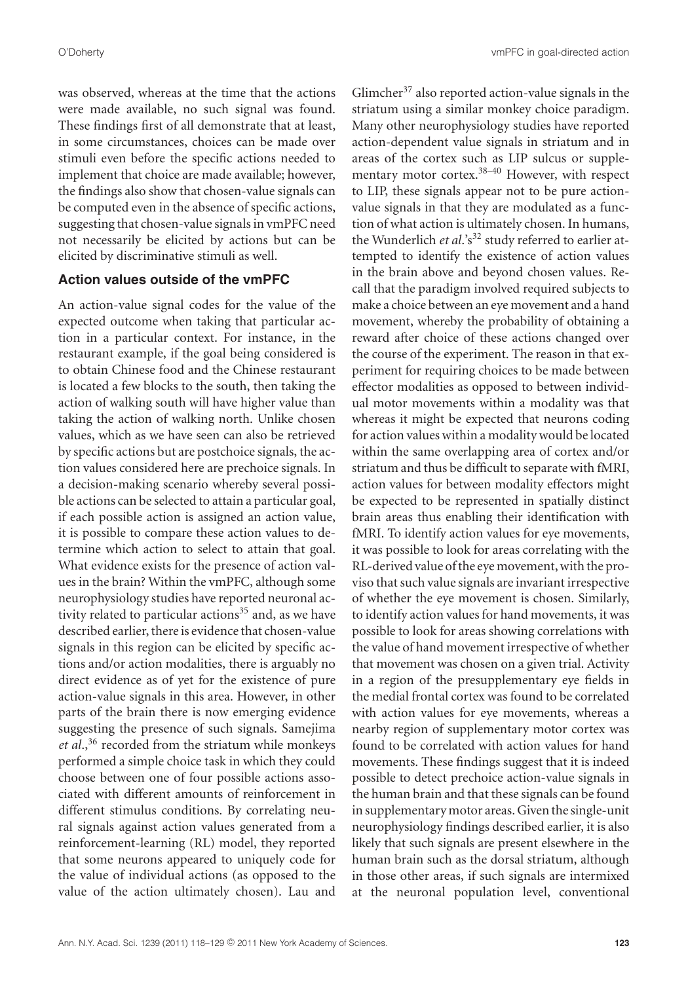was observed, whereas at the time that the actions were made available, no such signal was found. These findings first of all demonstrate that at least, in some circumstances, choices can be made over stimuli even before the specific actions needed to implement that choice are made available; however, the findings also show that chosen-value signals can be computed even in the absence of specific actions, suggesting that chosen-value signals in vmPFC need not necessarily be elicited by actions but can be elicited by discriminative stimuli as well.

#### **Action values outside of the vmPFC**

An action-value signal codes for the value of the expected outcome when taking that particular action in a particular context. For instance, in the restaurant example, if the goal being considered is to obtain Chinese food and the Chinese restaurant is located a few blocks to the south, then taking the action of walking south will have higher value than taking the action of walking north. Unlike chosen values, which as we have seen can also be retrieved by specific actions but are postchoice signals, the action values considered here are prechoice signals. In a decision-making scenario whereby several possible actions can be selected to attain a particular goal, if each possible action is assigned an action value, it is possible to compare these action values to determine which action to select to attain that goal. What evidence exists for the presence of action values in the brain? Within the vmPFC, although some neurophysiology studies have reported neuronal activity related to particular actions $35$  and, as we have described earlier, there is evidence that chosen-value signals in this region can be elicited by specific actions and/or action modalities, there is arguably no direct evidence as of yet for the existence of pure action-value signals in this area. However, in other parts of the brain there is now emerging evidence suggesting the presence of such signals. Samejima *et al*.,<sup>36</sup> recorded from the striatum while monkeys performed a simple choice task in which they could choose between one of four possible actions associated with different amounts of reinforcement in different stimulus conditions. By correlating neural signals against action values generated from a reinforcement-learning (RL) model, they reported that some neurons appeared to uniquely code for the value of individual actions (as opposed to the value of the action ultimately chosen). Lau and Glimcher<sup>37</sup> also reported action-value signals in the striatum using a similar monkey choice paradigm. Many other neurophysiology studies have reported action-dependent value signals in striatum and in areas of the cortex such as LIP sulcus or supplementary motor cortex.<sup>38-40</sup> However, with respect to LIP, these signals appear not to be pure actionvalue signals in that they are modulated as a function of what action is ultimately chosen. In humans, the Wunderlich et al.'s<sup>32</sup> study referred to earlier attempted to identify the existence of action values in the brain above and beyond chosen values. Recall that the paradigm involved required subjects to make a choice between an eye movement and a hand movement, whereby the probability of obtaining a reward after choice of these actions changed over the course of the experiment. The reason in that experiment for requiring choices to be made between effector modalities as opposed to between individual motor movements within a modality was that whereas it might be expected that neurons coding for action values within a modality would be located within the same overlapping area of cortex and/or striatum and thus be difficult to separate with fMRI, action values for between modality effectors might be expected to be represented in spatially distinct brain areas thus enabling their identification with fMRI. To identify action values for eye movements, it was possible to look for areas correlating with the RL-derived value of the eye movement, with the proviso that such value signals are invariant irrespective of whether the eye movement is chosen. Similarly, to identify action values for hand movements, it was possible to look for areas showing correlations with the value of hand movement irrespective of whether that movement was chosen on a given trial. Activity in a region of the presupplementary eye fields in the medial frontal cortex was found to be correlated with action values for eye movements, whereas a nearby region of supplementary motor cortex was found to be correlated with action values for hand movements. These findings suggest that it is indeed possible to detect prechoice action-value signals in the human brain and that these signals can be found in supplementary motor areas. Given the single-unit neurophysiology findings described earlier, it is also likely that such signals are present elsewhere in the human brain such as the dorsal striatum, although in those other areas, if such signals are intermixed at the neuronal population level, conventional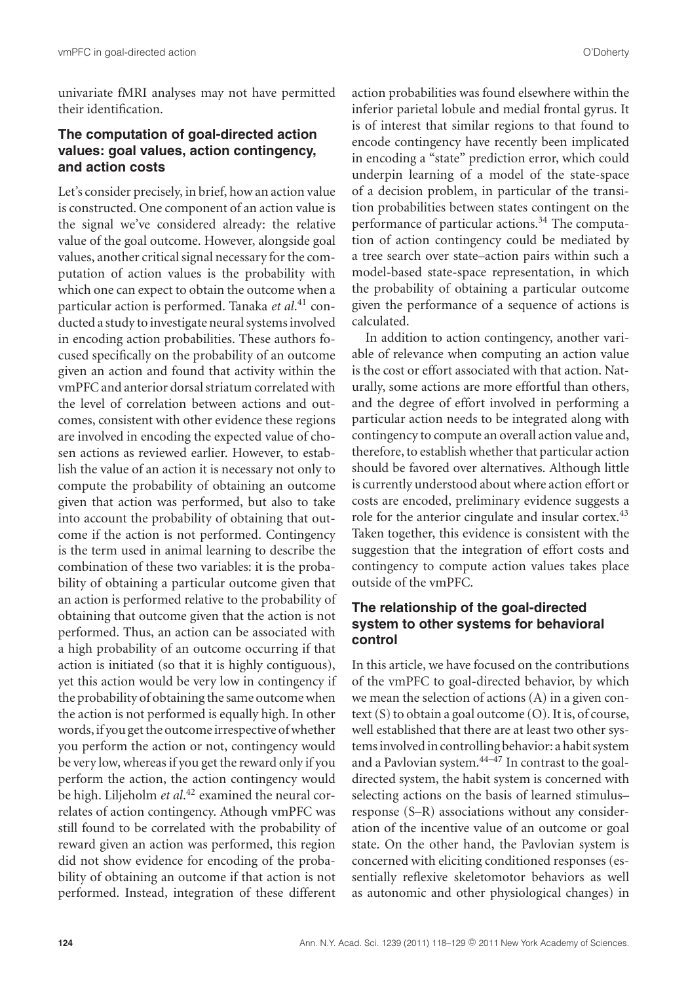univariate fMRI analyses may not have permitted their identification.

#### **The computation of goal-directed action values: goal values, action contingency, and action costs**

Let's consider precisely, in brief, how an action value is constructed. One component of an action value is the signal we've considered already: the relative value of the goal outcome. However, alongside goal values, another critical signal necessary for the computation of action values is the probability with which one can expect to obtain the outcome when a particular action is performed. Tanaka *et al*. <sup>41</sup> conducted a study to investigate neural systems involved in encoding action probabilities. These authors focused specifically on the probability of an outcome given an action and found that activity within the vmPFC and anterior dorsal striatum correlated with the level of correlation between actions and outcomes, consistent with other evidence these regions are involved in encoding the expected value of chosen actions as reviewed earlier. However, to establish the value of an action it is necessary not only to compute the probability of obtaining an outcome given that action was performed, but also to take into account the probability of obtaining that outcome if the action is not performed. Contingency is the term used in animal learning to describe the combination of these two variables: it is the probability of obtaining a particular outcome given that an action is performed relative to the probability of obtaining that outcome given that the action is not performed. Thus, an action can be associated with a high probability of an outcome occurring if that action is initiated (so that it is highly contiguous), yet this action would be very low in contingency if the probability of obtaining the same outcome when the action is not performed is equally high. In other words, if you get the outcome irrespective of whether you perform the action or not, contingency would be very low, whereas if you get the reward only if you perform the action, the action contingency would be high. Liljeholm *et al*. <sup>42</sup> examined the neural correlates of action contingency. Athough vmPFC was still found to be correlated with the probability of reward given an action was performed, this region did not show evidence for encoding of the probability of obtaining an outcome if that action is not performed. Instead, integration of these different

action probabilities was found elsewhere within the inferior parietal lobule and medial frontal gyrus. It is of interest that similar regions to that found to encode contingency have recently been implicated in encoding a "state" prediction error, which could underpin learning of a model of the state-space of a decision problem, in particular of the transition probabilities between states contingent on the performance of particular actions.<sup>34</sup> The computation of action contingency could be mediated by a tree search over state–action pairs within such a model-based state-space representation, in which the probability of obtaining a particular outcome given the performance of a sequence of actions is calculated.

In addition to action contingency, another variable of relevance when computing an action value is the cost or effort associated with that action. Naturally, some actions are more effortful than others, and the degree of effort involved in performing a particular action needs to be integrated along with contingency to compute an overall action value and, therefore, to establish whether that particular action should be favored over alternatives. Although little is currently understood about where action effort or costs are encoded, preliminary evidence suggests a role for the anterior cingulate and insular cortex.<sup>43</sup> Taken together, this evidence is consistent with the suggestion that the integration of effort costs and contingency to compute action values takes place outside of the vmPFC.

## **The relationship of the goal-directed system to other systems for behavioral control**

In this article, we have focused on the contributions of the vmPFC to goal-directed behavior, by which we mean the selection of actions (A) in a given context (S) to obtain a goal outcome (O). It is, of course, well established that there are at least two other systems involved in controlling behavior: a habit system and a Pavlovian system. $44-47$  In contrast to the goaldirected system, the habit system is concerned with selecting actions on the basis of learned stimulus– response (S–R) associations without any consideration of the incentive value of an outcome or goal state. On the other hand, the Pavlovian system is concerned with eliciting conditioned responses (essentially reflexive skeletomotor behaviors as well as autonomic and other physiological changes) in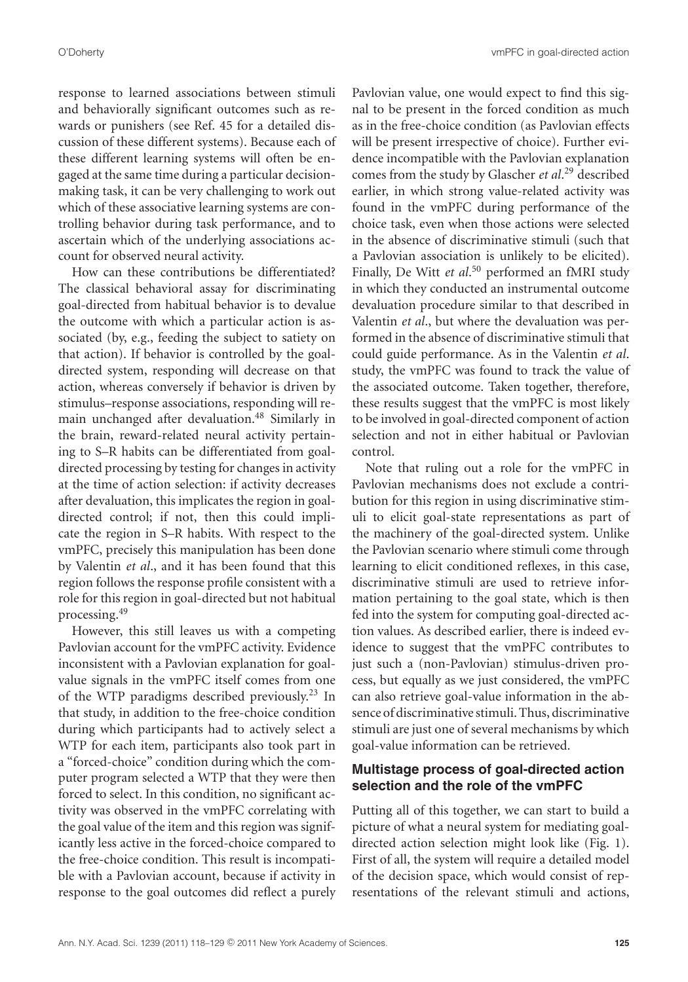response to learned associations between stimuli and behaviorally significant outcomes such as rewards or punishers (see Ref. 45 for a detailed discussion of these different systems). Because each of these different learning systems will often be engaged at the same time during a particular decisionmaking task, it can be very challenging to work out which of these associative learning systems are controlling behavior during task performance, and to ascertain which of the underlying associations account for observed neural activity.

How can these contributions be differentiated? The classical behavioral assay for discriminating goal-directed from habitual behavior is to devalue the outcome with which a particular action is associated (by, e.g., feeding the subject to satiety on that action). If behavior is controlled by the goaldirected system, responding will decrease on that action, whereas conversely if behavior is driven by stimulus–response associations, responding will remain unchanged after devaluation.<sup>48</sup> Similarly in the brain, reward-related neural activity pertaining to S–R habits can be differentiated from goaldirected processing by testing for changes in activity at the time of action selection: if activity decreases after devaluation, this implicates the region in goaldirected control; if not, then this could implicate the region in S–R habits. With respect to the vmPFC, precisely this manipulation has been done by Valentin *et al*., and it has been found that this region follows the response profile consistent with a role for this region in goal-directed but not habitual processing.<sup>49</sup>

However, this still leaves us with a competing Pavlovian account for the vmPFC activity. Evidence inconsistent with a Pavlovian explanation for goalvalue signals in the vmPFC itself comes from one of the WTP paradigms described previously.<sup>23</sup> In that study, in addition to the free-choice condition during which participants had to actively select a WTP for each item, participants also took part in a "forced-choice" condition during which the computer program selected a WTP that they were then forced to select. In this condition, no significant activity was observed in the vmPFC correlating with the goal value of the item and this region was significantly less active in the forced-choice compared to the free-choice condition. This result is incompatible with a Pavlovian account, because if activity in response to the goal outcomes did reflect a purely Pavlovian value, one would expect to find this signal to be present in the forced condition as much as in the free-choice condition (as Pavlovian effects will be present irrespective of choice). Further evidence incompatible with the Pavlovian explanation comes from the study by Glascher *et al*. <sup>29</sup> described earlier, in which strong value-related activity was found in the vmPFC during performance of the choice task, even when those actions were selected in the absence of discriminative stimuli (such that a Pavlovian association is unlikely to be elicited). Finally, De Witt *et al*. <sup>50</sup> performed an fMRI study in which they conducted an instrumental outcome devaluation procedure similar to that described in Valentin *et al*., but where the devaluation was performed in the absence of discriminative stimuli that could guide performance. As in the Valentin *et al*. study, the vmPFC was found to track the value of the associated outcome. Taken together, therefore, these results suggest that the vmPFC is most likely to be involved in goal-directed component of action selection and not in either habitual or Pavlovian control.

Note that ruling out a role for the vmPFC in Pavlovian mechanisms does not exclude a contribution for this region in using discriminative stimuli to elicit goal-state representations as part of the machinery of the goal-directed system. Unlike the Pavlovian scenario where stimuli come through learning to elicit conditioned reflexes, in this case, discriminative stimuli are used to retrieve information pertaining to the goal state, which is then fed into the system for computing goal-directed action values. As described earlier, there is indeed evidence to suggest that the vmPFC contributes to just such a (non-Pavlovian) stimulus-driven process, but equally as we just considered, the vmPFC can also retrieve goal-value information in the absence of discriminative stimuli. Thus, discriminative stimuli are just one of several mechanisms by which goal-value information can be retrieved.

## **Multistage process of goal-directed action selection and the role of the vmPFC**

Putting all of this together, we can start to build a picture of what a neural system for mediating goaldirected action selection might look like (Fig. 1). First of all, the system will require a detailed model of the decision space, which would consist of representations of the relevant stimuli and actions,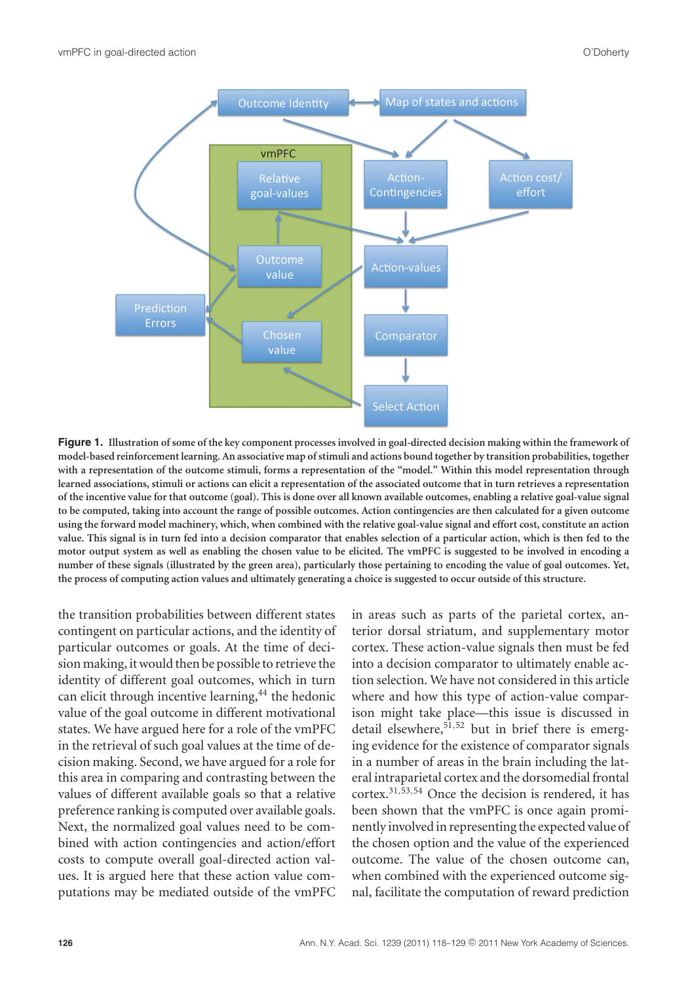

**Figure 1. Illustration of some of the key component processes involved in goal-directed decision making within the framework of model-based reinforcement learning. An associative map of stimuli and actions bound together by transition probabilities, together with a representation of the outcome stimuli, forms a representation of the "model." Within this model representation through learned associations, stimuli or actions can elicit a representation of the associated outcome that in turn retrieves a representation of the incentive value for that outcome (goal). This is done over all known available outcomes, enabling a relative goal-value signal to be computed, taking into account the range of possible outcomes. Action contingencies are then calculated for a given outcome using the forward model machinery, which, when combined with the relative goal-value signal and effort cost, constitute an action value. This signal is in turn fed into a decision comparator that enables selection of a particular action, which is then fed to the motor output system as well as enabling the chosen value to be elicited. The vmPFC is suggested to be involved in encoding a number of these signals (illustrated by the green area), particularly those pertaining to encoding the value of goal outcomes. Yet, the process of computing action values and ultimately generating a choice is suggested to occur outside of this structure.**

the transition probabilities between different states contingent on particular actions, and the identity of particular outcomes or goals. At the time of decision making, it would then be possible to retrieve the identity of different goal outcomes, which in turn can elicit through incentive learning, $44$  the hedonic value of the goal outcome in different motivational states. We have argued here for a role of the vmPFC in the retrieval of such goal values at the time of decision making. Second, we have argued for a role for this area in comparing and contrasting between the values of different available goals so that a relative preference ranking is computed over available goals. Next, the normalized goal values need to be combined with action contingencies and action/effort costs to compute overall goal-directed action values. It is argued here that these action value computations may be mediated outside of the vmPFC

in areas such as parts of the parietal cortex, anterior dorsal striatum, and supplementary motor cortex. These action-value signals then must be fed into a decision comparator to ultimately enable action selection. We have not considered in this article where and how this type of action-value comparison might take place—this issue is discussed in detail elsewhere,  $51,52$  but in brief there is emerging evidence for the existence of comparator signals in a number of areas in the brain including the lateral intraparietal cortex and the dorsomedial frontal cortex.<sup>31</sup>,53,<sup>54</sup> Once the decision is rendered, it has been shown that the vmPFC is once again prominently involved in representing the expected value of the chosen option and the value of the experienced outcome. The value of the chosen outcome can, when combined with the experienced outcome signal, facilitate the computation of reward prediction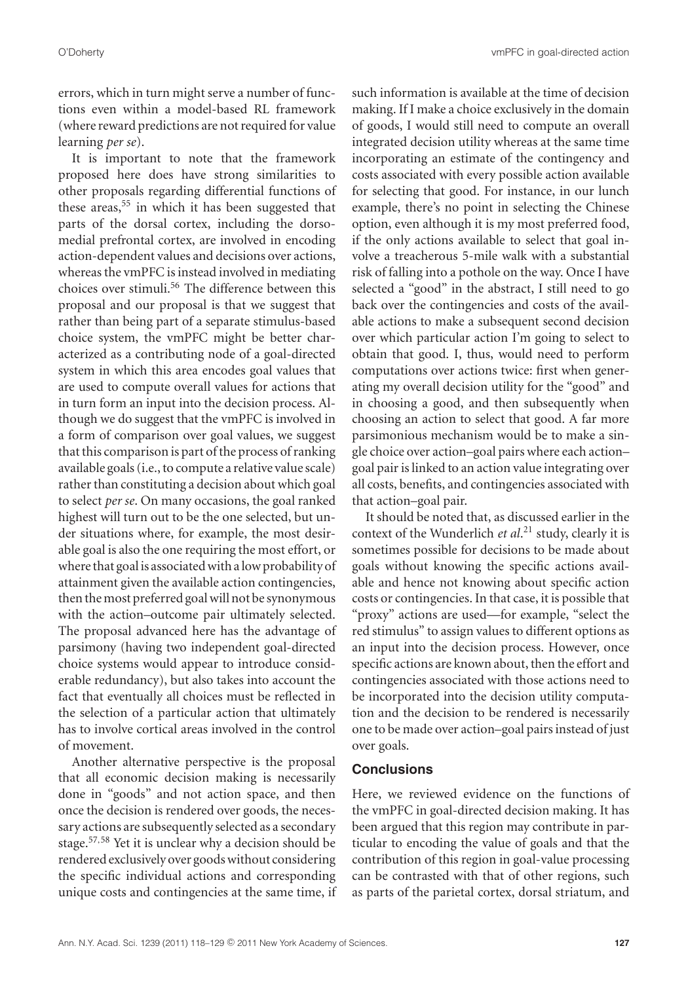errors, which in turn might serve a number of functions even within a model-based RL framework (where reward predictions are not required for value learning *per se*).

It is important to note that the framework proposed here does have strong similarities to other proposals regarding differential functions of these areas,<sup>55</sup> in which it has been suggested that parts of the dorsal cortex, including the dorsomedial prefrontal cortex, are involved in encoding action-dependent values and decisions over actions, whereas the vmPFC is instead involved in mediating choices over stimuli.<sup>56</sup> The difference between this proposal and our proposal is that we suggest that rather than being part of a separate stimulus-based choice system, the vmPFC might be better characterized as a contributing node of a goal-directed system in which this area encodes goal values that are used to compute overall values for actions that in turn form an input into the decision process. Although we do suggest that the vmPFC is involved in a form of comparison over goal values, we suggest that this comparison is part of the process of ranking available goals (i.e., to compute a relative value scale) rather than constituting a decision about which goal to select *per se*. On many occasions, the goal ranked highest will turn out to be the one selected, but under situations where, for example, the most desirable goal is also the one requiring the most effort, or where that goal is associated with a low probability of attainment given the available action contingencies, then the most preferred goal will not be synonymous with the action–outcome pair ultimately selected. The proposal advanced here has the advantage of parsimony (having two independent goal-directed choice systems would appear to introduce considerable redundancy), but also takes into account the fact that eventually all choices must be reflected in the selection of a particular action that ultimately has to involve cortical areas involved in the control of movement.

Another alternative perspective is the proposal that all economic decision making is necessarily done in "goods" and not action space, and then once the decision is rendered over goods, the necessary actions are subsequently selected as a secondary stage.<sup>57</sup>,<sup>58</sup> Yet it is unclear why a decision should be rendered exclusively over goodswithout considering the specific individual actions and corresponding unique costs and contingencies at the same time, if such information is available at the time of decision making. If I make a choice exclusively in the domain of goods, I would still need to compute an overall integrated decision utility whereas at the same time incorporating an estimate of the contingency and costs associated with every possible action available for selecting that good. For instance, in our lunch example, there's no point in selecting the Chinese option, even although it is my most preferred food, if the only actions available to select that goal involve a treacherous 5-mile walk with a substantial risk of falling into a pothole on the way. Once I have selected a "good" in the abstract, I still need to go back over the contingencies and costs of the available actions to make a subsequent second decision over which particular action I'm going to select to obtain that good. I, thus, would need to perform computations over actions twice: first when generating my overall decision utility for the "good" and in choosing a good, and then subsequently when choosing an action to select that good. A far more parsimonious mechanism would be to make a single choice over action–goal pairs where each action– goal pair is linked to an action value integrating over all costs, benefits, and contingencies associated with that action–goal pair.

It should be noted that, as discussed earlier in the context of the Wunderlich *et al*. <sup>21</sup> study, clearly it is sometimes possible for decisions to be made about goals without knowing the specific actions available and hence not knowing about specific action costs or contingencies. In that case, it is possible that "proxy" actions are used—for example, "select the red stimulus" to assign values to different options as an input into the decision process. However, once specific actions are known about, then the effort and contingencies associated with those actions need to be incorporated into the decision utility computation and the decision to be rendered is necessarily one to be made over action–goal pairs instead of just over goals.

#### **Conclusions**

Here, we reviewed evidence on the functions of the vmPFC in goal-directed decision making. It has been argued that this region may contribute in particular to encoding the value of goals and that the contribution of this region in goal-value processing can be contrasted with that of other regions, such as parts of the parietal cortex, dorsal striatum, and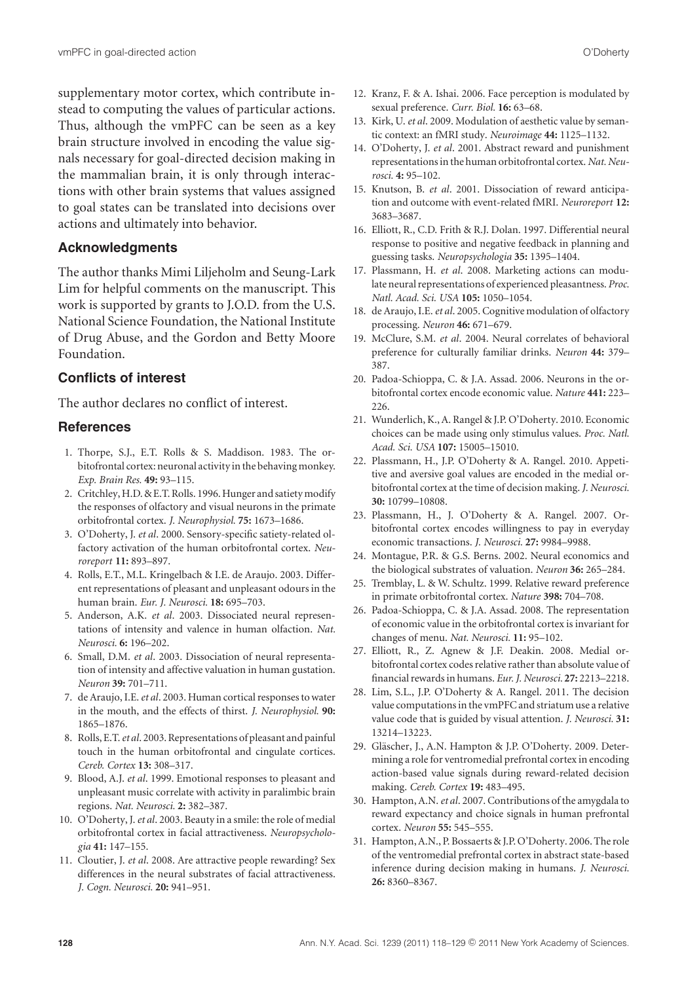supplementary motor cortex, which contribute instead to computing the values of particular actions. Thus, although the vmPFC can be seen as a key brain structure involved in encoding the value signals necessary for goal-directed decision making in the mammalian brain, it is only through interactions with other brain systems that values assigned to goal states can be translated into decisions over actions and ultimately into behavior.

#### **Acknowledgments**

The author thanks Mimi Liljeholm and Seung-Lark Lim for helpful comments on the manuscript. This work is supported by grants to J.O.D. from the U.S. National Science Foundation, the National Institute of Drug Abuse, and the Gordon and Betty Moore Foundation.

## **Conflicts of interest**

The author declares no conflict of interest.

#### **References**

- 1. Thorpe, S.J., E.T. Rolls & S. Maddison. 1983. The orbitofrontal cortex: neuronal activity in the behaving monkey. *Exp. Brain Res.* **49:** 93–115.
- 2. Critchley, H.D. & E.T. Rolls. 1996. Hunger and satiety modify the responses of olfactory and visual neurons in the primate orbitofrontal cortex. *J. Neurophysiol.* **75:** 1673–1686.
- 3. O'Doherty, J. *et al*. 2000. Sensory-specific satiety-related olfactory activation of the human orbitofrontal cortex. *Neuroreport* **11:** 893–897.
- 4. Rolls, E.T., M.L. Kringelbach & I.E. de Araujo. 2003. Different representations of pleasant and unpleasant odours in the human brain. *Eur. J. Neurosci.* **18:** 695–703.
- 5. Anderson, A.K. *et al*. 2003. Dissociated neural representations of intensity and valence in human olfaction. *Nat. Neurosci.* **6:** 196–202.
- 6. Small, D.M. *et al*. 2003. Dissociation of neural representation of intensity and affective valuation in human gustation. *Neuron* **39:** 701–711.
- 7. de Araujo, I.E.*et al*. 2003. Human cortical responses to water in the mouth, and the effects of thirst. *J. Neurophysiol.* **90:** 1865–1876.
- 8. Rolls, E.T.*et al*. 2003. Representations of pleasant and painful touch in the human orbitofrontal and cingulate cortices. *Cereb. Cortex* **13:** 308–317.
- 9. Blood, A.J. *et al*. 1999. Emotional responses to pleasant and unpleasant music correlate with activity in paralimbic brain regions. *Nat. Neurosci.* **2:** 382–387.
- 10. O'Doherty, J.*et al*. 2003. Beauty in a smile: the role of medial orbitofrontal cortex in facial attractiveness. *Neuropsychologia* **41:** 147–155.
- 11. Cloutier, J. *et al*. 2008. Are attractive people rewarding? Sex differences in the neural substrates of facial attractiveness. *J. Cogn. Neurosci.* **20:** 941–951.
- 12. Kranz, F. & A. Ishai. 2006. Face perception is modulated by sexual preference. *Curr. Biol.* **16:** 63–68.
- 13. Kirk, U.*et al*. 2009. Modulation of aesthetic value by semantic context: an fMRI study. *Neuroimage* **44:** 1125–1132.
- 14. O'Doherty, J. *et al*. 2001. Abstract reward and punishment representations in the human orbitofrontal cortex. *Nat. Neurosci.* **4:** 95–102.
- 15. Knutson, B. *et al*. 2001. Dissociation of reward anticipation and outcome with event-related fMRI. *Neuroreport* **12:** 3683–3687.
- 16. Elliott, R., C.D. Frith & R.J. Dolan. 1997. Differential neural response to positive and negative feedback in planning and guessing tasks. *Neuropsychologia* **35:** 1395–1404.
- 17. Plassmann, H. *et al*. 2008. Marketing actions can modulate neural representations of experienced pleasantness. *Proc. Natl. Acad. Sci. USA* **105:** 1050–1054.
- 18. de Araujo, I.E.*et al*. 2005. Cognitive modulation of olfactory processing. *Neuron* **46:** 671–679.
- 19. McClure, S.M. *et al*. 2004. Neural correlates of behavioral preference for culturally familiar drinks. *Neuron* **44:** 379– 387.
- 20. Padoa-Schioppa, C. & J.A. Assad. 2006. Neurons in the orbitofrontal cortex encode economic value. *Nature* **441:** 223– 226.
- 21. Wunderlich, K., A. Rangel & J.P. O'Doherty. 2010. Economic choices can be made using only stimulus values. *Proc. Natl. Acad. Sci. USA* **107:** 15005–15010.
- 22. Plassmann, H., J.P. O'Doherty & A. Rangel. 2010. Appetitive and aversive goal values are encoded in the medial orbitofrontal cortex at the time of decision making. *J. Neurosci.* **30:** 10799–10808.
- 23. Plassmann, H., J. O'Doherty & A. Rangel. 2007. Orbitofrontal cortex encodes willingness to pay in everyday economic transactions. *J. Neurosci.* **27:** 9984–9988.
- 24. Montague, P.R. & G.S. Berns. 2002. Neural economics and the biological substrates of valuation. *Neuron* **36:** 265–284.
- 25. Tremblay, L. & W. Schultz. 1999. Relative reward preference in primate orbitofrontal cortex. *Nature* **398:** 704–708.
- 26. Padoa-Schioppa, C. & J.A. Assad. 2008. The representation of economic value in the orbitofrontal cortex is invariant for changes of menu. *Nat. Neurosci.* **11:** 95–102.
- 27. Elliott, R., Z. Agnew & J.F. Deakin. 2008. Medial orbitofrontal cortex codes relative rather than absolute value of financial rewards in humans. *Eur. J. Neurosci.* **27:** 2213–2218.
- 28. Lim, S.L., J.P. O'Doherty & A. Rangel. 2011. The decision value computations in the vmPFC and striatum use a relative value code that is guided by visual attention. *J. Neurosci.* **31:** 13214–13223.
- 29. Gläscher, J., A.N. Hampton & J.P. O'Doherty. 2009. Determining a role for ventromedial prefrontal cortex in encoding action-based value signals during reward-related decision making. *Cereb. Cortex* **19:** 483–495.
- 30. Hampton, A.N.*et al*. 2007. Contributions of the amygdala to reward expectancy and choice signals in human prefrontal cortex. *Neuron* **55:** 545–555.
- 31. Hampton, A.N., P. Bossaerts & J.P. O'Doherty. 2006. The role of the ventromedial prefrontal cortex in abstract state-based inference during decision making in humans. *J. Neurosci.* **26:** 8360–8367.